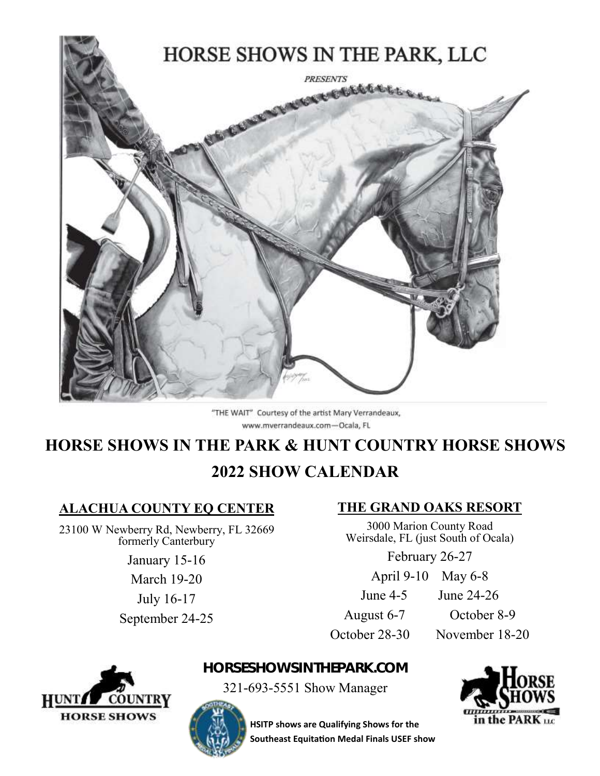

"THE WAIT" Courtesy of the artist Mary Verrandeaux, www.mverrandeaux.com-Ocala, FL

# **HORSE SHOWS IN THE PARK & HUNT COUNTRY HORSE SHOWS 2022 SHOW CALENDAR**

# **ALACHUA COUNTY EQ CENTER**

23100 W Newberry Rd, Newberry, FL 32669 formerly Canterbury

January 15-16

March 19-20 July 16-17

September 24-25

# **THE GRAND OAKS RESORT**

3000 Marion County Road Weirsdale, FL (just South of Ocala)

February 26-27

April 9-10 May 6-8

June 4-5 June 24-26

August 6-7 October 8-9

October 28-30 November 18-20



**HORSESHOWSINTHEPARK.COM** 

321-693-5551 Show Manager





**HSITP shows are Qualifying Shows for the Southeast Equitation Medal Finals USEF show**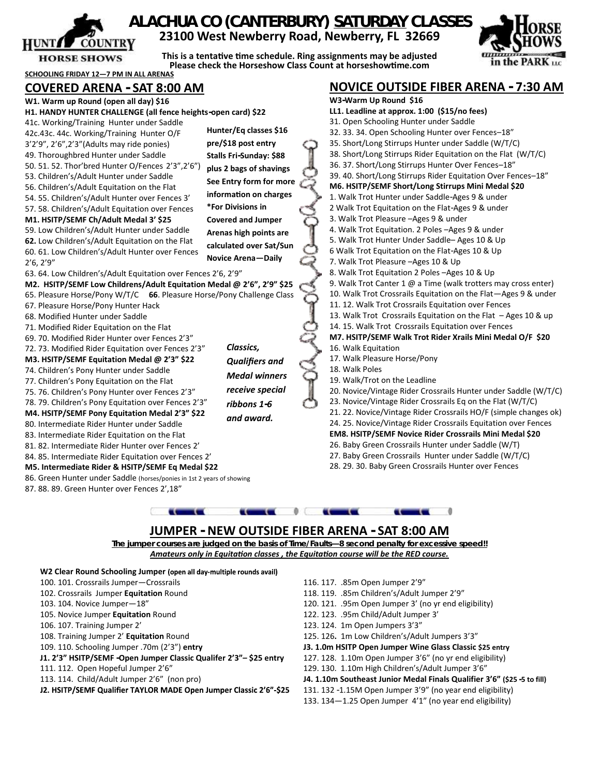

## **ALACHUA CO (CANTERBURY) SATURDAY CLASSES 23100 West Newberry Road, Newberry, FL 32669**

**This is a tentative time schedule. Ring assignments may be adjusted Please check the Horseshow Class Count at horseshowtime.com** 



**NOVICE OUTSIDE FIBER ARENA - 7:30 AM**

#### **SCHOOLING FRIDAY 12—7 PM IN ALL ARENAS COVERED ARENA - SAT 8:00 AM**

| W1. Warm up Round (open all day) \$16                                  |                           |  | W3-Warm Up Round \$16                                            |  |  |
|------------------------------------------------------------------------|---------------------------|--|------------------------------------------------------------------|--|--|
| H1. HANDY HUNTER CHALLENGE (all fence heights-open card) \$22          |                           |  | LL1. Leadline at approx. 1:00 (\$15/no fees)                     |  |  |
| 41c. Working/Training Hunter under Saddle                              |                           |  | 31. Open Schooling Hunter under Saddle                           |  |  |
| 42c.43c. 44c. Working/Training Hunter O/F                              | Hunter/Eq classes \$16    |  | 32. 33. 34. Open Schooling Hunter over Fences-18"                |  |  |
| 3'2'9", 2'6", 2'3" (Adults may ride ponies)                            | pre/\$18 post entry       |  | 35. Short/Long Stirrups Hunter under Saddle (W/T/C)              |  |  |
| 49. Thoroughbred Hunter under Saddle                                   | Stalls Fri-Sunday: \$88   |  | 38. Short/Long Stirrups Rider Equitation on the Flat (W/T/C)     |  |  |
| 50. 51. 52. Thor'bred Hunter O/Fences 2'3",2'6")                       | plus 2 bags of shavings   |  | 36. 37. Short/Long Stirrups Hunter Over Fences-18"               |  |  |
| 53. Children's/Adult Hunter under Saddle                               | See Entry form for more   |  | 39. 40. Short/Long Stirrups Rider Equitation Over Fences-18"     |  |  |
| 56. Children's/Adult Equitation on the Flat                            |                           |  | M6. HSITP/SEMF Short/Long Stirrups Mini Medal \$20               |  |  |
| 54. 55. Children's/Adult Hunter over Fences 3'                         | information on charges    |  | 1. Walk Trot Hunter under Saddle-Ages 9 & under                  |  |  |
| 57.58. Children's/Adult Equitation over Fences                         | *For Divisions in         |  | 2 Walk Trot Equitation on the Flat-Ages 9 & under                |  |  |
| M1. HSITP/SEMF Ch/Adult Medal 3' \$25                                  | <b>Covered and Jumper</b> |  | 3. Walk Trot Pleasure - Ages 9 & under                           |  |  |
| 59. Low Children's/Adult Hunter under Saddle                           | Arenas high points are    |  | 4. Walk Trot Equitation. 2 Poles - Ages 9 & under                |  |  |
| 62. Low Children's/Adult Equitation on the Flat                        | calculated over Sat/Sun   |  | 5. Walk Trot Hunter Under Saddle- Ages 10 & Up                   |  |  |
| 60. 61. Low Children's/Adult Hunter over Fences                        | <b>Novice Arena-Daily</b> |  | 6 Walk Trot Equitation on the Flat-Ages 10 & Up                  |  |  |
| 2'6, 2'9''                                                             |                           |  | 7. Walk Trot Pleasure - Ages 10 & Up                             |  |  |
| 63.64. Low Children's/Adult Equitation over Fences 2'6, 2'9"           |                           |  | 8. Walk Trot Equitation 2 Poles - Ages 10 & Up                   |  |  |
| M2. HSITP/SEMF Low Childrens/Adult Equitation Medal @ 2'6", 2'9" \$25  |                           |  | 9. Walk Trot Canter 1 @ a Time (walk trotters may cross enter)   |  |  |
| 65. Pleasure Horse/Pony W/T/C 66. Pleasure Horse/Pony Challenge Class  |                           |  | 10. Walk Trot Crossrails Equitation on the Flat-Ages 9 & under   |  |  |
| 67. Pleasure Horse/Pony Hunter Hack                                    |                           |  | 11. 12. Walk Trot Crossrails Equitation over Fences              |  |  |
| 68. Modified Hunter under Saddle                                       |                           |  | 13. Walk Trot Crossrails Equitation on the Flat - Ages 10 & up   |  |  |
| 71. Modified Rider Equitation on the Flat                              |                           |  | 14. 15. Walk Trot Crossrails Equitation over Fences              |  |  |
| 69. 70. Modified Rider Hunter over Fences 2'3"                         |                           |  | M7. HSITP/SEMF Walk Trot Rider Xrails Mini Medal O/F \$20        |  |  |
| 72. 73. Modified Rider Equitation over Fences 2'3"                     | Classics,                 |  | 16. Walk Equitation                                              |  |  |
| M3. HSITP/SEMF Equitation Medal @ 2'3" \$22                            | <b>Qualifiers and</b>     |  | 17. Walk Pleasure Horse/Pony                                     |  |  |
| 74. Children's Pony Hunter under Saddle                                | <b>Medal winners</b>      |  | 18. Walk Poles                                                   |  |  |
| 77. Children's Pony Equitation on the Flat                             |                           |  | 19. Walk/Trot on the Leadline                                    |  |  |
| 75. 76. Children's Pony Hunter over Fences 2'3"                        | receive special           |  | 20. Novice/Vintage Rider Crossrails Hunter under Saddle (W/T/C)  |  |  |
| 78. 79. Children's Pony Equitation over Fences 2'3"                    | ribbons 1-6               |  | 23. Novice/Vintage Rider Crossrails Eq on the Flat (W/T/C)       |  |  |
| M4. HSITP/SEMF Pony Equitation Medal 2'3" \$22                         | and award.                |  | 21. 22. Novice/Vintage Rider Crossrails HO/F (simple changes ok) |  |  |
| 80. Intermediate Rider Hunter under Saddle                             |                           |  | 24. 25. Novice/Vintage Rider Crossrails Equitation over Fences   |  |  |
| 83. Intermediate Rider Equitation on the Flat                          |                           |  | EM8. HSITP/SEMF Novice Rider Crossrails Mini Medal \$20          |  |  |
| 81. 82. Intermediate Rider Hunter over Fences 2'                       |                           |  | 26. Baby Green Crossrails Hunter under Saddle (W/T)              |  |  |
| 84.85. Intermediate Rider Equitation over Fences 2'                    |                           |  | 27. Baby Green Crossrails Hunter under Saddle (W/T/C)            |  |  |
| M5. Intermediate Rider & HSITP/SEMF Eq Medal \$22                      |                           |  | 28. 29. 30. Baby Green Crossrails Hunter over Fences             |  |  |
| 86. Green Hunter under Saddle (horses/ponies in 1st 2 years of showing |                           |  |                                                                  |  |  |
| 87.88.89. Green Hunter over Fences 2',18"                              |                           |  |                                                                  |  |  |
|                                                                        |                           |  |                                                                  |  |  |
|                                                                        |                           |  |                                                                  |  |  |



**The jumper courses are judged on the basis of Time/Faults—8 second penalty for excessive speed!!** *Amateurs only in Equitation classes , the Equitation course will be the RED course.* 

- W2 Clear Round Schooling Jumper (open all day-multiple rounds avail)
- 100. 101. Crossrails Jumper—Crossrails
- 102. Crossrails Jumper **Equitation** Round
- 103. 104. Novice Jumper—18"
- 105. Novice Jumper **Equitation** Round
- 106. 107. Training Jumper 2'
- 108. Training Jumper 2' **Equitation** Round
- 109. 110. Schooling Jumper .70m (2'3") **entry**
- **J1. 2'3" HSITP/SEMF -Open Jumper Classic Qualifer 2'3"– \$25 entry**
- 111. 112. Open Hopeful Jumper 2'6"
- 113. 114. Child/Adult Jumper 2'6" (non pro)
- J2. HSITP/SEMF Qualifier TAYLOR MADE Open Jumper Classic 2'6"-\$25
- 116. 117. .85m Open Jumper 2'9"
- 118. 119. .85m Children's/Adult Jumper 2'9"
- 120. 121. .95m Open Jumper 3' (no yr end eligibility)
- 122. 123. .95m Child/Adult Jumper 3'
- 123. 124. 1m Open Jumpers 3'3"
- 125. 126**.** 1m Low Children's/Adult Jumpers 3'3"
- **J3. 1.0m HSITP Open Jumper Wine Glass Classic \$25 entry**
- 127. 128. 1.10m Open Jumper 3'6" (no yr end eligibility)
- 129. 130. 1.10m High Children's/Adult Jumper 3'6"
- **J4. 1.10m Southeast Junior Medal Finals Qualifier 3'6" (\$25 -5 to fill)**
- 131. 132 -1.15M Open Jumper 3'9" (no year end eligibility)
- 133. 134—1.25 Open Jumper 4'1" (no year end eligibility)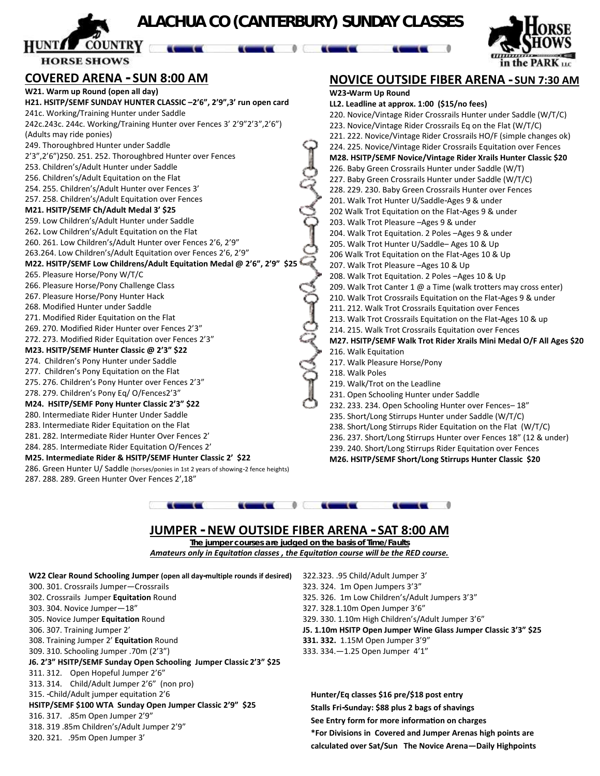# **ALACHUA CO (CANTERBURY) SUNDAY CLASSES**

**COUNTRY HORSE SHOWS** 

### **COVERED ARENA - SUN 8:00 AM**

287. 288. 289. Green Hunter Over Fences 2',18"

**W21. Warm up Round (open all day) H21. HSITP/SEMF SUNDAY HUNTER CLASSIC –2'6", 2'9",3' run open card** 241c. Working/Training Hunter under Saddle 242c.243c. 244c. Working/Training Hunter over Fences 3' 2'9"2'3",2'6") (Adults may ride ponies) 249. Thoroughbred Hunter under Saddle 2'3",2'6")250. 251. 252. Thoroughbred Hunter over Fences 253. Children's/Adult Hunter under Saddle 256. Children's/Adult Equitation on the Flat 254. 255. Children's/Adult Hunter over Fences 3' 257. 258. Children's/Adult Equitation over Fences **M21. HSITP/SEMF Ch/Adult Medal 3' \$25** 259. Low Children's/Adult Hunter under Saddle 262**.** Low Children's/Adult Equitation on the Flat 260. 261. Low Children's/Adult Hunter over Fences 2'6, 2'9" 263.264. Low Children's/Adult Equitation over Fences 2'6, 2'9" **M22. HSITP/SEMF Low Childrens/Adult Equitation Medal @ 2'6", 2'9" \$25** 265. Pleasure Horse/Pony W/T/C 266. Pleasure Horse/Pony Challenge Class 267. Pleasure Horse/Pony Hunter Hack 268. Modified Hunter under Saddle 271. Modified Rider Equitation on the Flat 269. 270. Modified Rider Hunter over Fences 2'3" 272. 273. Modified Rider Equitation over Fences 2'3" **M23. HSITP/SEMF Hunter Classic @ 2'3" \$22** 274. Children's Pony Hunter under Saddle 277. Children's Pony Equitation on the Flat 275. 276. Children's Pony Hunter over Fences 2'3" 278. 279. Children's Pony Eq/ O/Fences2'3" **M24. HSITP/SEMF Pony Hunter Classic 2'3" \$22** 280. Intermediate Rider Hunter Under Saddle 283. Intermediate Rider Equitation on the Flat 281. 282. Intermediate Rider Hunter Over Fences 2' 284. 285. Intermediate Rider Equitation O/Fences 2' **M25. Intermediate Rider & HSITP/SEMF Hunter Classic 2' \$22** 286. Green Hunter U/ Saddle (horses/ponies in 1st 2 years of showing-2 fence heights)



in the PARK

**W23-Warm Up Round LL2. Leadline at approx. 1:00 (\$15/no fees)** 220. Novice/Vintage Rider Crossrails Hunter under Saddle (W/T/C) 223. Novice/Vintage Rider Crossrails Eq on the Flat (W/T/C) 221. 222. Novice/Vintage Rider Crossrails HO/F (simple changes ok) 224. 225. Novice/Vintage Rider Crossrails Equitation over Fences **M28. HSITP/SEMF Novice/Vintage Rider Xrails Hunter Classic \$20** 226. Baby Green Crossrails Hunter under Saddle (W/T) 227. Baby Green Crossrails Hunter under Saddle (W/T/C) 228. 229. 230. Baby Green Crossrails Hunter over Fences 201. Walk Trot Hunter U/Saddle-Ages 9 & under 202 Walk Trot Equitation on the Flat-Ages 9 & under 203. Walk Trot Pleasure –Ages 9 & under 204. Walk Trot Equitation. 2 Poles –Ages 9 & under 205. Walk Trot Hunter U/Saddle– Ages 10 & Up 206 Walk Trot Equitation on the Flat-Ages 10 & Up 207. Walk Trot Pleasure –Ages 10 & Up 208. Walk Trot Equitation. 2 Poles –Ages 10 & Up 209. Walk Trot Canter 1 @ a Time (walk trotters may cross enter) 210. Walk Trot Crossrails Equitation on the Flat-Ages 9 & under 211. 212. Walk Trot Crossrails Equitation over Fences 213. Walk Trot Crossrails Equitation on the Flat-Ages 10 & up 214. 215. Walk Trot Crossrails Equitation over Fences **M27. HSITP/SEMF Walk Trot Rider Xrails Mini Medal O/F All Ages \$20** 216. Walk Equitation 217. Walk Pleasure Horse/Pony 218. Walk Poles 219. Walk/Trot on the Leadline 231. Open Schooling Hunter under Saddle 232. 233. 234. Open Schooling Hunter over Fences– 18" 235. Short/Long Stirrups Hunter under Saddle (W/T/C) 238. Short/Long Stirrups Rider Equitation on the Flat (W/T/C) 236. 237. Short/Long Stirrups Hunter over Fences 18" (12 & under) 239. 240. Short/Long Stirrups Rider Equitation over Fences

**M26. HSITP/SEMF Short/Long Stirrups Hunter Classic \$20**



### **JUMPER - NEW OUTSIDE FIBER ARENA - SAT 8:00 AM**

**The jumper courses are judged on the basis of Time/Faults** *Amateurs only in Equitation classes , the Equitation course will be the RED course.* 

|                                                                    | W22 Clear Round Schooling Jumper (open all day-multiple rounds if desired) | 322.323.     |  |
|--------------------------------------------------------------------|----------------------------------------------------------------------------|--------------|--|
|                                                                    | 300. 301. Crossrails Jumper–Crossrails                                     | 323.324      |  |
|                                                                    | 302. Crossrails Jumper Equitation Round                                    | 325.326      |  |
|                                                                    | 303. 304. Novice Jumper-18"                                                | 327.328      |  |
|                                                                    | 305. Novice Jumper Equitation Round                                        | 329.330      |  |
|                                                                    | 306. 307. Training Jumper 2'                                               | J5. 1.10n    |  |
|                                                                    | 308. Training Jumper 2' Equitation Round                                   | 331.332      |  |
|                                                                    | 309. 310. Schooling Jumper .70m (2'3")                                     | 333.334      |  |
| J6. 2'3" HSITP/SEMF Sunday Open Schooling Jumper Classic 2'3" \$25 |                                                                            |              |  |
|                                                                    | 311. 312. Open Hopeful Jumper 2'6"                                         |              |  |
|                                                                    | 313. 314. Child/Adult Jumper 2'6" (non pro)                                |              |  |
|                                                                    | 315. - Child/Adult jumper equitation 2'6                                   | <b>Hunte</b> |  |
|                                                                    | HSITP/SEMF \$100 WTA Sunday Open Jumper Classic 2'9" \$25                  | Stalls I     |  |
|                                                                    | 316. 317. .85m Open Jumper 2'9"                                            | See En       |  |
|                                                                    | 318. 319.85m Children's/Adult Jumper 2'9"                                  | *For D       |  |
|                                                                    | 320. 321. .95m Open Jumper 3'                                              |              |  |

322.323. .95 Child/Adult Jumper 3' 1. 1m Open Jumpers 3'3" 5. 1m Low Children's/Adult Jumpers 3'3"  $3.1.10m$  Open Jumper  $3'6''$ 1. 1.10m High Children's/Adult Jumper 3'6" **J5. 1.10m HSITP Open Jumper Wine Glass Jumper Classic 3'3" \$25 331. 332.** 1.15M Open Jumper 3'9"  $33 - 1.25$  Open Jumper 4'1"

**Hunter/Eq classes \$16 pre/\$18 post entry Stalls Fri-Sunday: \$88 plus 2 bags of shavings See Entry form for more information on charges Divisions in Covered and Jumper Arenas high points are calculated over Sat/Sun The Novice Arena—Daily Highpoints**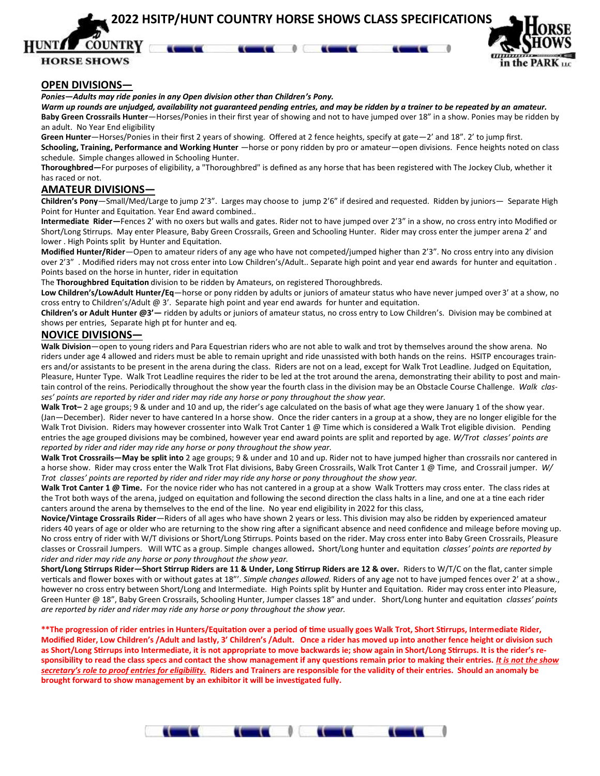**2022 HSITP/HUNT COUNTRY HORSE SHOWS CLASS SPECIFICATIONS**

**COUNTRY HORSE SHOWS** 



#### **OPEN DIVISIONS—**

*Ponies—Adults may ride ponies in any Open division other than Children's Pony.*

*Warm up rounds are unjudged, availability not guaranteed pending entries, and may be ridden by a trainer to be repeated by an amateur.*  **Baby Green Crossrails Hunter**—Horses/Ponies in their first year of showing and not to have jumped over 18" in a show. Ponies may be ridden by an adult. No Year End eligibility

**Green Hunter**—Horses/Ponies in their first 2 years of showing. Offered at 2 fence heights, specify at gate—2' and 18". 2' to jump first. **Schooling, Training, Performance and Working Hunter** —horse or pony ridden by pro or amateur—open divisions. Fence heights noted on class schedule. Simple changes allowed in Schooling Hunter.

**Thoroughbred—**For purposes of eligibility, a "Thoroughbred" is defined as any horse that has been registered with The Jockey Club, whether it has raced or not.

#### **AMATEUR DIVISIONS—**

**Children's Pony**—Small/Med/Large to jump 2'3". Larges may choose to jump 2'6" if desired and requested. Ridden by juniors— Separate High Point for Hunter and Equitation. Year End award combined..

**Intermediate Rider—**Fences 2' with no oxers but walls and gates. Rider not to have jumped over 2'3" in a show, no cross entry into Modified or Short/Long Stirrups. May enter Pleasure, Baby Green Crossrails, Green and Schooling Hunter. Rider may cross enter the jumper arena 2' and lower . High Points split by Hunter and Equitation.

**Modified Hunter/Rider**—Open to amateur riders of any age who have not competed/jumped higher than 2'3". No cross entry into any division over 2'3" . Modified riders may not cross enter into Low Children's/Adult.. Separate high point and year end awards for hunter and equitation . Points based on the horse in hunter, rider in equitation

The **Thoroughbred Equitation** division to be ridden by Amateurs, on registered Thoroughbreds.

**Low Children's/LowAdult Hunter/Eq**—horse or pony ridden by adults or juniors of amateur status who have never jumped over 3' at a show, no cross entry to Children's/Adult @ 3'. Separate high point and year end awards for hunter and equitation.

**Children's or Adult Hunter @3'—** ridden by adults or juniors of amateur status, no cross entry to Low Children's. Division may be combined at shows per entries, Separate high pt for hunter and eq.

#### **NOVICE DIVISIONS—**

**Walk Division**—open to young riders and Para Equestrian riders who are not able to walk and trot by themselves around the show arena. No riders under age 4 allowed and riders must be able to remain upright and ride unassisted with both hands on the reins. HSITP encourages trainers and/or assistants to be present in the arena during the class. Riders are not on a lead, except for Walk Trot Leadline. Judged on Equitation, Pleasure, Hunter Type. Walk Trot Leadline requires the rider to be led at the trot around the arena, demonstrating their ability to post and maintain control of the reins. Periodically throughout the show year the fourth class in the division may be an Obstacle Course Challenge. *Walk classes' points are reported by rider and rider may ride any horse or pony throughout the show year.* 

**Walk Trot–** 2 age groups; 9 & under and 10 and up, the rider's age calculated on the basis of what age they were January 1 of the show year. (Jan—December). Rider never to have cantered In a horse show. Once the rider canters in a group at a show, they are no longer eligible for the Walk Trot Division. Riders may however crossenter into Walk Trot Canter 1 @ Time which is considered a Walk Trot eligible division. Pending entries the age grouped divisions may be combined, however year end award points are split and reported by age. *W/Trot classes' points are reported by rider and rider may ride any horse or pony throughout the show year.* 

**Walk Trot Crossrails—May be split into** 2 age groups; 9 & under and 10 and up. Rider not to have jumped higher than crossrails nor cantered in a horse show. Rider may cross enter the Walk Trot Flat divisions, Baby Green Crossrails, Walk Trot Canter 1 @ Time, and Crossrail jumper. *W/ Trot classes' points are reported by rider and rider may ride any horse or pony throughout the show year.* 

**Walk Trot Canter 1 @ Time.** For the novice rider who has not cantered in a group at a show Walk Trotters may cross enter. The class rides at the Trot both ways of the arena, judged on equitation and following the second direction the class halts in a line, and one at a tine each rider canters around the arena by themselves to the end of the line. No year end eligibility in 2022 for this class,

**Novice/Vintage Crossrails Rider**—Riders of all ages who have shown 2 years or less. This division may also be ridden by experienced amateur riders 40 years of age or older who are returning to the show ring after a significant absence and need confidence and mileage before moving up. No cross entry of rider with W/T divisions or Short/Long Stirrups. Points based on the rider. May cross enter into Baby Green Crossrails, Pleasure classes or Crossrail Jumpers. Will WTC as a group. Simple changes allowed**.** Short/Long hunter and equitation *classes' points are reported by rider and rider may ride any horse or pony throughout the show year.* 

**Short/Long Stirrups Rider—Short Stirrup Riders are 11 & Under, Long Stirrup Riders are 12 & over.** Riders to W/T/C on the flat, canter simple verticals and flower boxes with or without gates at 18"'. *Simple changes allowed.* Riders of any age not to have jumped fences over 2' at a show., however no cross entry between Short/Long and Intermediate. High Points split by Hunter and Equitation. Rider may cross enter into Pleasure, Green Hunter @ 18", Baby Green Crossrails, Schooling Hunter, Jumper classes 18" and under. Short/Long hunter and equitation *classes' points are reported by rider and rider may ride any horse or pony throughout the show year.* 

**\*\*The progression of rider entries in Hunters/Equitation over a period of time usually goes Walk Trot, Short Stirrups, Intermediate Rider, Modified Rider, Low Children's /Adult and lastly, 3' Children's /Adult. Once a rider has moved up into another fence height or division such as Short/Long Stirrups into Intermediate, it is not appropriate to move backwards ie; show again in Short/Long Stirrups. It is the rider's re**sponsibility to read the class specs and contact the show management if any questions remain prior to making their entries. *It is not the show secretary's role to proof entries for eligibility.* **Riders and Trainers are responsible for the validity of their entries. Should an anomaly be brought forward to show management by an exhibitor it will be investigated fully.**